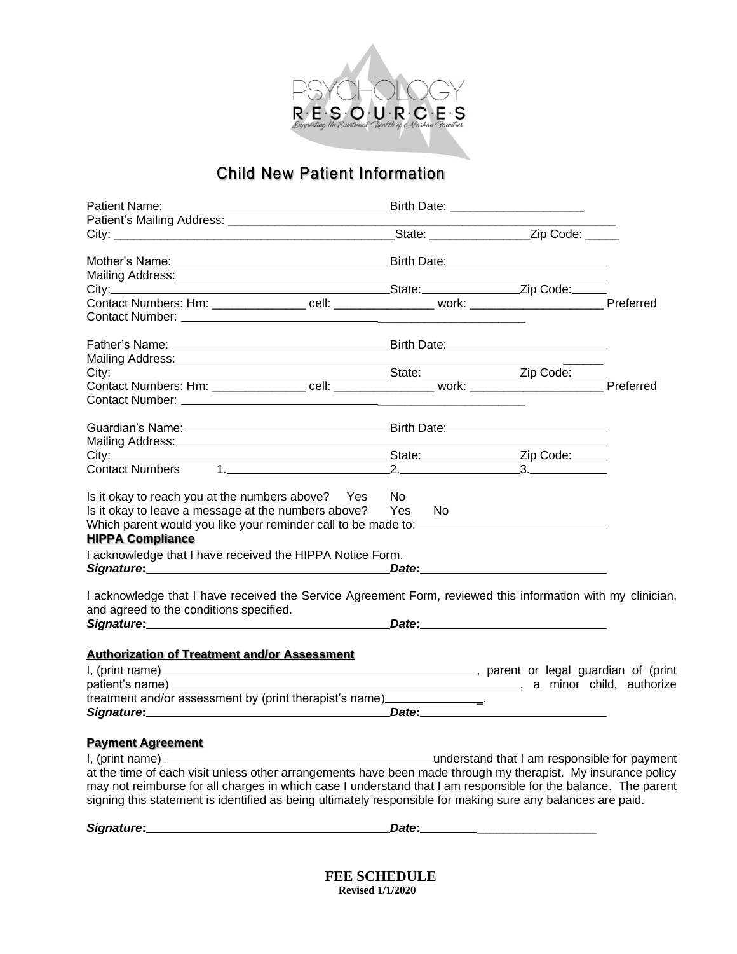

# **Child New Patient Information**

|                                                                                                                                                                                                                                                                           |       | Birth Date: _______________________         |  |
|---------------------------------------------------------------------------------------------------------------------------------------------------------------------------------------------------------------------------------------------------------------------------|-------|---------------------------------------------|--|
|                                                                                                                                                                                                                                                                           |       |                                             |  |
|                                                                                                                                                                                                                                                                           |       | State: _____________________Zip Code: _____ |  |
|                                                                                                                                                                                                                                                                           |       |                                             |  |
| Mailing Address: Mailing Address: Mailing Address: Mailing Address: Mailing Address: Mail 1999                                                                                                                                                                            |       |                                             |  |
|                                                                                                                                                                                                                                                                           |       |                                             |  |
|                                                                                                                                                                                                                                                                           |       |                                             |  |
|                                                                                                                                                                                                                                                                           |       |                                             |  |
|                                                                                                                                                                                                                                                                           |       |                                             |  |
| Mailing Address: Mailing Address: Mailing Address: Mailing Address: Mailing Address: Mail 1999                                                                                                                                                                            |       |                                             |  |
|                                                                                                                                                                                                                                                                           |       |                                             |  |
|                                                                                                                                                                                                                                                                           |       |                                             |  |
|                                                                                                                                                                                                                                                                           |       |                                             |  |
|                                                                                                                                                                                                                                                                           |       |                                             |  |
| Contact Numbers 1.                                                                                                                                                                                                                                                        |       |                                             |  |
| Is it okay to reach you at the numbers above? Yes<br>Is it okay to leave a message at the numbers above? Yes No<br>Which parent would you like your reminder call to be made to: __________________<br><b>HIPPA Compliance</b>                                            | No.   |                                             |  |
| I acknowledge that I have received the HIPPA Notice Form.                                                                                                                                                                                                                 |       |                                             |  |
| I acknowledge that I have received the Service Agreement Form, reviewed this information with my clinician,                                                                                                                                                               |       |                                             |  |
| and agreed to the conditions specified.<br>Signature: Date: Date: Date: Date: Date: Date: Date: Date: Date: Date: Date: Date: Date: Date: Date: Date: Date: Date: Date: Date: Date: Date: Date: Date: Date: Date: Date: Date: Date: Date: Date: Date: Date: Date: Date: D |       |                                             |  |
| <b>Authorization of Treatment and/or Assessment</b>                                                                                                                                                                                                                       |       |                                             |  |
|                                                                                                                                                                                                                                                                           |       |                                             |  |
|                                                                                                                                                                                                                                                                           |       |                                             |  |
| treatment and/or assessment by (print therapist's name)_________________________                                                                                                                                                                                          |       |                                             |  |
|                                                                                                                                                                                                                                                                           |       | Date: <u>Date:</u>                          |  |
|                                                                                                                                                                                                                                                                           |       |                                             |  |
| <b>Payment Agreement</b>                                                                                                                                                                                                                                                  |       |                                             |  |
| I, (print name) ________<br>understand that I am responsible for payment (in the second text) and that I am responsible for payment                                                                                                                                       |       |                                             |  |
| at the time of each visit unless other arrangements have been made through my therapist. My insurance policy                                                                                                                                                              |       |                                             |  |
| may not reimburse for all charges in which case I understand that I am responsible for the balance. The parent<br>signing this statement is identified as being ultimately responsible for making sure any balances are paid.                                             |       |                                             |  |
| Signature:                                                                                                                                                                                                                                                                | Date: |                                             |  |

 **FEE SCHEDULE Revised 1/1/2020**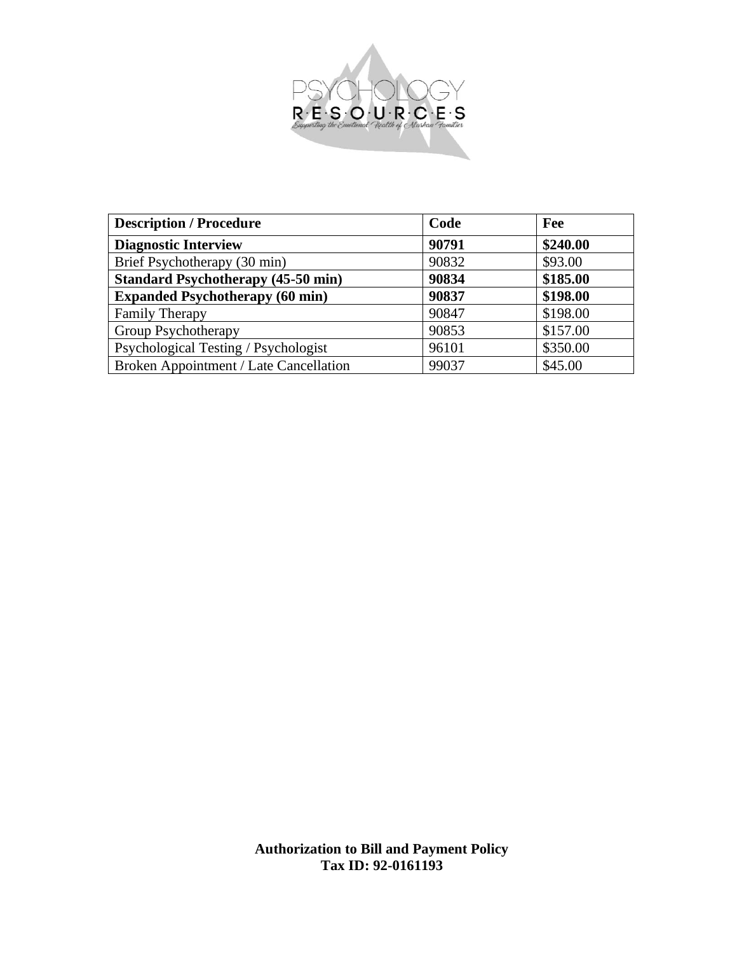

| <b>Description / Procedure</b>            | Code  | Fee      |
|-------------------------------------------|-------|----------|
| <b>Diagnostic Interview</b>               | 90791 | \$240.00 |
| Brief Psychotherapy (30 min)              | 90832 | \$93.00  |
| <b>Standard Psychotherapy (45-50 min)</b> | 90834 | \$185.00 |
| <b>Expanded Psychotherapy (60 min)</b>    | 90837 | \$198.00 |
| <b>Family Therapy</b>                     | 90847 | \$198.00 |
| Group Psychotherapy                       | 90853 | \$157.00 |
| Psychological Testing / Psychologist      | 96101 | \$350.00 |
| Broken Appointment / Late Cancellation    | 99037 | \$45.00  |

**Authorization to Bill and Payment Policy Tax ID: 92-0161193**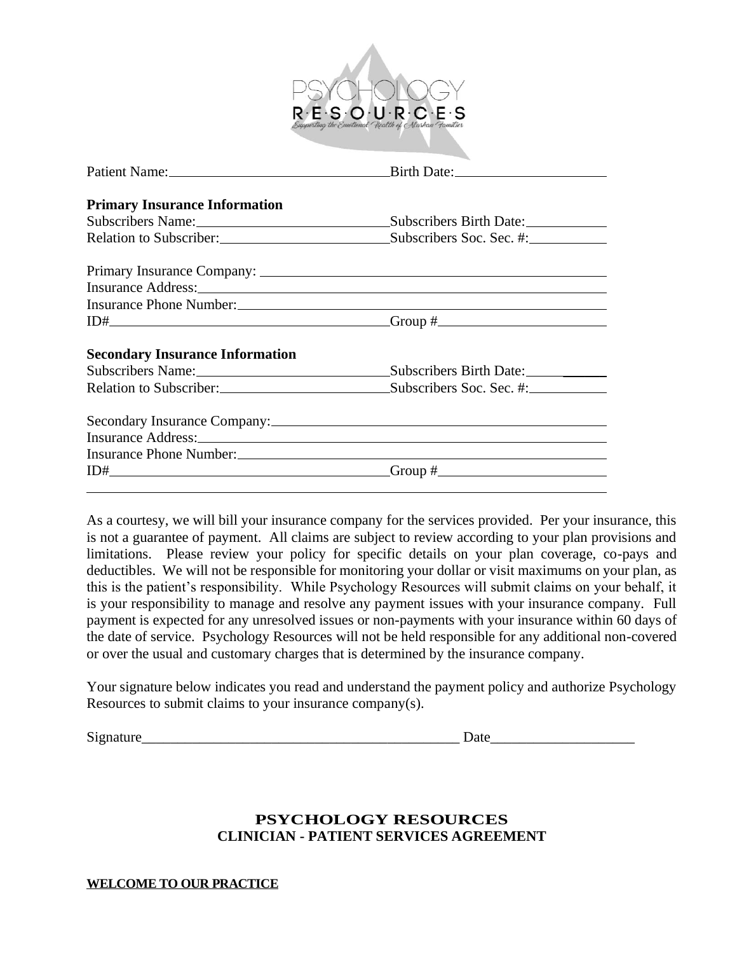

| <b>Primary Insurance Information</b>                                                                                                                                                                                           |                                                                   |
|--------------------------------------------------------------------------------------------------------------------------------------------------------------------------------------------------------------------------------|-------------------------------------------------------------------|
|                                                                                                                                                                                                                                | Subscribers Name: Subscribers Birth Date:                         |
|                                                                                                                                                                                                                                | Relation to Subscriber: Subscriber Subscribers Soc. Sec. #:       |
|                                                                                                                                                                                                                                |                                                                   |
| Insurance Address: No. 1996. The Manual Community of the Manual Community of the Manual Community of the Manual Community of the Manual Community of the Manual Community of the Manual Community of the Manual Community of t |                                                                   |
|                                                                                                                                                                                                                                |                                                                   |
|                                                                                                                                                                                                                                | $ID#$ Group $#$ Group $#$                                         |
| <b>Secondary Insurance Information</b>                                                                                                                                                                                         |                                                                   |
|                                                                                                                                                                                                                                | Subscribers Name: Subscribers Birth Date: Subscribers Birth Date: |
|                                                                                                                                                                                                                                | Relation to Subscriber: Subscribers Soc. Sec. #:                  |
|                                                                                                                                                                                                                                |                                                                   |
| Insurance Address: No. 1996. The Contract of the Address of the Address of the Address of the Address of the A                                                                                                                 |                                                                   |
|                                                                                                                                                                                                                                |                                                                   |
|                                                                                                                                                                                                                                | $ID#$ Group $#$ Group $#$                                         |
|                                                                                                                                                                                                                                |                                                                   |

As a courtesy, we will bill your insurance company for the services provided. Per your insurance, this is not a guarantee of payment. All claims are subject to review according to your plan provisions and limitations. Please review your policy for specific details on your plan coverage, co-pays and deductibles. We will not be responsible for monitoring your dollar or visit maximums on your plan, as this is the patient's responsibility. While Psychology Resources will submit claims on your behalf, it is your responsibility to manage and resolve any payment issues with your insurance company. Full payment is expected for any unresolved issues or non-payments with your insurance within 60 days of the date of service. Psychology Resources will not be held responsible for any additional non-covered or over the usual and customary charges that is determined by the insurance company.

Your signature below indicates you read and understand the payment policy and authorize Psychology Resources to submit claims to your insurance company(s).

Signature the contract of the contract of the contract of the contract of  $\Gamma$ 

## **PSYCHOLOGY RESOURCES CLINICIAN - PATIENT SERVICES AGREEMENT**

**WELCOME TO OUR PRACTICE**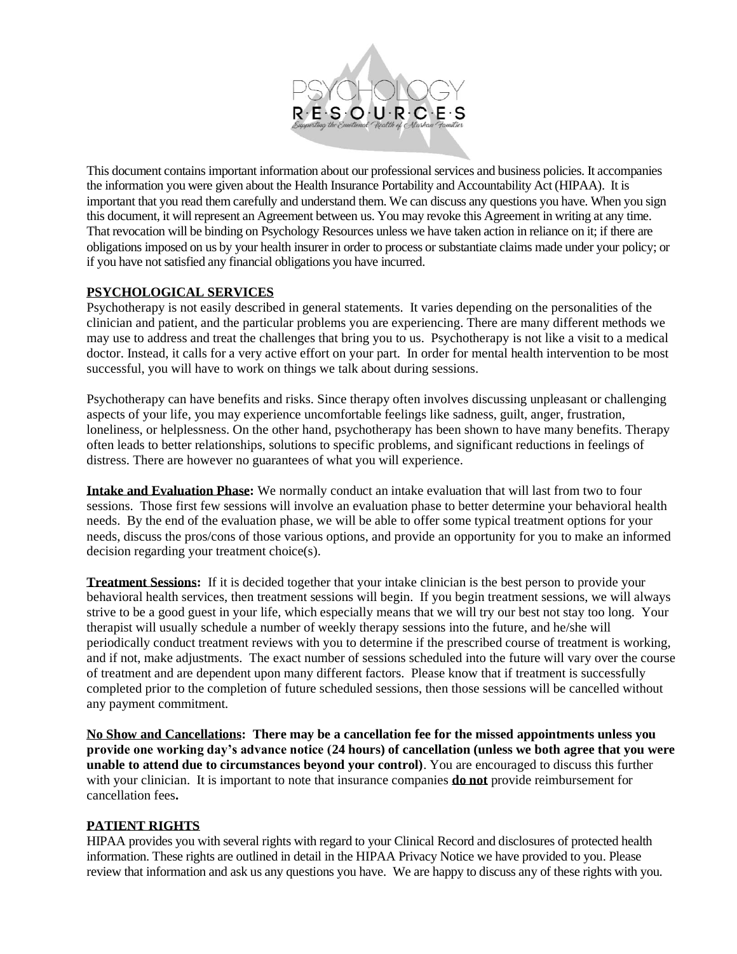

This document contains important information about our professional services and business policies. It accompanies the information you were given about the Health Insurance Portability and Accountability Act (HIPAA). It is important that you read them carefully and understand them. We can discuss any questions you have. When you sign this document, it will represent an Agreement between us. You may revoke this Agreement in writing at any time. That revocation will be binding on Psychology Resources unless we have taken action in reliance on it; if there are obligations imposed on us by your health insurer in order to process or substantiate claims made under your policy; or if you have not satisfied any financial obligations you have incurred.

## **PSYCHOLOGICAL SERVICES**

Psychotherapy is not easily described in general statements. It varies depending on the personalities of the clinician and patient, and the particular problems you are experiencing. There are many different methods we may use to address and treat the challenges that bring you to us. Psychotherapy is not like a visit to a medical doctor. Instead, it calls for a very active effort on your part. In order for mental health intervention to be most successful, you will have to work on things we talk about during sessions.

Psychotherapy can have benefits and risks. Since therapy often involves discussing unpleasant or challenging aspects of your life, you may experience uncomfortable feelings like sadness, guilt, anger, frustration, loneliness, or helplessness. On the other hand, psychotherapy has been shown to have many benefits. Therapy often leads to better relationships, solutions to specific problems, and significant reductions in feelings of distress. There are however no guarantees of what you will experience.

**Intake and Evaluation Phase:** We normally conduct an intake evaluation that will last from two to four sessions. Those first few sessions will involve an evaluation phase to better determine your behavioral health needs. By the end of the evaluation phase, we will be able to offer some typical treatment options for your needs, discuss the pros/cons of those various options, and provide an opportunity for you to make an informed decision regarding your treatment choice(s).

**Treatment Sessions:** If it is decided together that your intake clinician is the best person to provide your behavioral health services, then treatment sessions will begin. If you begin treatment sessions, we will always strive to be a good guest in your life, which especially means that we will try our best not stay too long. Your therapist will usually schedule a number of weekly therapy sessions into the future, and he/she will periodically conduct treatment reviews with you to determine if the prescribed course of treatment is working, and if not, make adjustments. The exact number of sessions scheduled into the future will vary over the course of treatment and are dependent upon many different factors. Please know that if treatment is successfully completed prior to the completion of future scheduled sessions, then those sessions will be cancelled without any payment commitment.

**No Show and Cancellations: There may be a cancellation fee for the missed appointments unless you provide one working day's advance notice (24 hours) of cancellation (unless we both agree that you were unable to attend due to circumstances beyond your control)**. You are encouraged to discuss this further with your clinician. It is important to note that insurance companies **do not** provide reimbursement for cancellation fees**.** 

## **PATIENT RIGHTS**

HIPAA provides you with several rights with regard to your Clinical Record and disclosures of protected health information. These rights are outlined in detail in the HIPAA Privacy Notice we have provided to you. Please review that information and ask us any questions you have. We are happy to discuss any of these rights with you.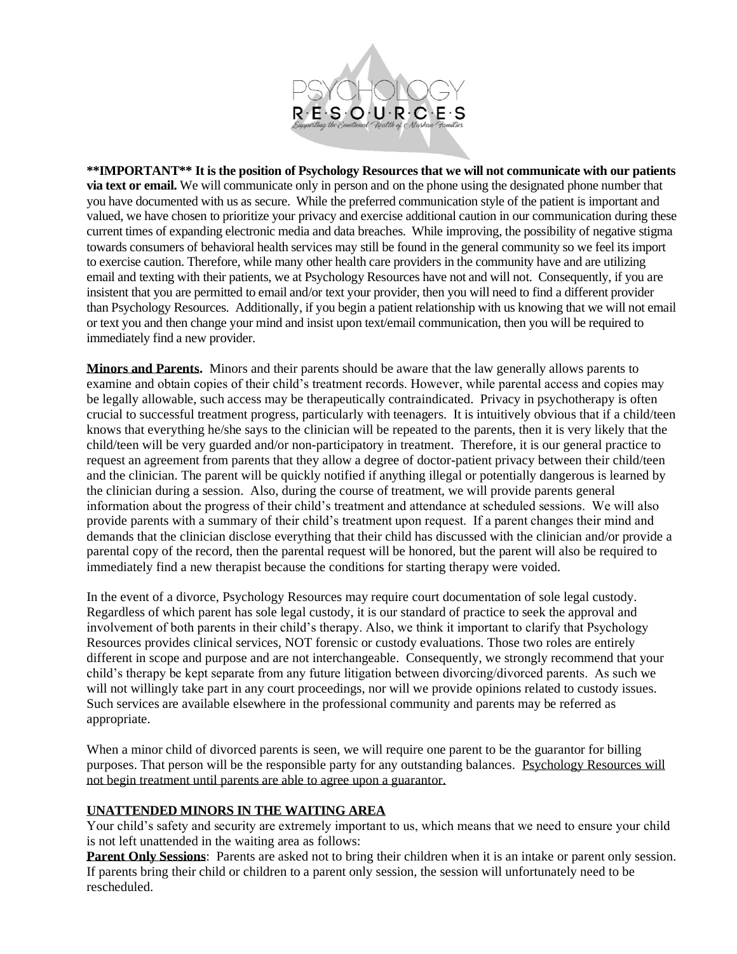

**\*\*IMPORTANT\*\* It is the position of Psychology Resources that we will not communicate with our patients via text or email.** We will communicate only in person and on the phone using the designated phone number that you have documented with us as secure. While the preferred communication style of the patient is important and valued, we have chosen to prioritize your privacy and exercise additional caution in our communication during these current times of expanding electronic media and data breaches. While improving, the possibility of negative stigma towards consumers of behavioral health services may still be found in the general community so we feel its import to exercise caution. Therefore, while many other health care providers in the community have and are utilizing email and texting with their patients, we at Psychology Resources have not and will not. Consequently, if you are insistent that you are permitted to email and/or text your provider, then you will need to find a different provider than Psychology Resources. Additionally, if you begin a patient relationship with us knowing that we will not email or text you and then change your mind and insist upon text/email communication, then you will be required to immediately find a new provider.

**Minors and Parents.** Minors and their parents should be aware that the law generally allows parents to examine and obtain copies of their child's treatment records. However, while parental access and copies may be legally allowable, such access may be therapeutically contraindicated. Privacy in psychotherapy is often crucial to successful treatment progress, particularly with teenagers. It is intuitively obvious that if a child/teen knows that everything he/she says to the clinician will be repeated to the parents, then it is very likely that the child/teen will be very guarded and/or non-participatory in treatment. Therefore, it is our general practice to request an agreement from parents that they allow a degree of doctor-patient privacy between their child/teen and the clinician. The parent will be quickly notified if anything illegal or potentially dangerous is learned by the clinician during a session. Also, during the course of treatment, we will provide parents general information about the progress of their child's treatment and attendance at scheduled sessions. We will also provide parents with a summary of their child's treatment upon request. If a parent changes their mind and demands that the clinician disclose everything that their child has discussed with the clinician and/or provide a parental copy of the record, then the parental request will be honored, but the parent will also be required to immediately find a new therapist because the conditions for starting therapy were voided.

In the event of a divorce, Psychology Resources may require court documentation of sole legal custody. Regardless of which parent has sole legal custody, it is our standard of practice to seek the approval and involvement of both parents in their child's therapy. Also, we think it important to clarify that Psychology Resources provides clinical services, NOT forensic or custody evaluations. Those two roles are entirely different in scope and purpose and are not interchangeable. Consequently, we strongly recommend that your child's therapy be kept separate from any future litigation between divorcing/divorced parents. As such we will not willingly take part in any court proceedings, nor will we provide opinions related to custody issues. Such services are available elsewhere in the professional community and parents may be referred as appropriate.

When a minor child of divorced parents is seen, we will require one parent to be the guarantor for billing purposes. That person will be the responsible party for any outstanding balances. Psychology Resources will not begin treatment until parents are able to agree upon a guarantor.

## **UNATTENDED MINORS IN THE WAITING AREA**

Your child's safety and security are extremely important to us, which means that we need to ensure your child is not left unattended in the waiting area as follows:

**Parent Only Sessions**: Parents are asked not to bring their children when it is an intake or parent only session. If parents bring their child or children to a parent only session, the session will unfortunately need to be rescheduled.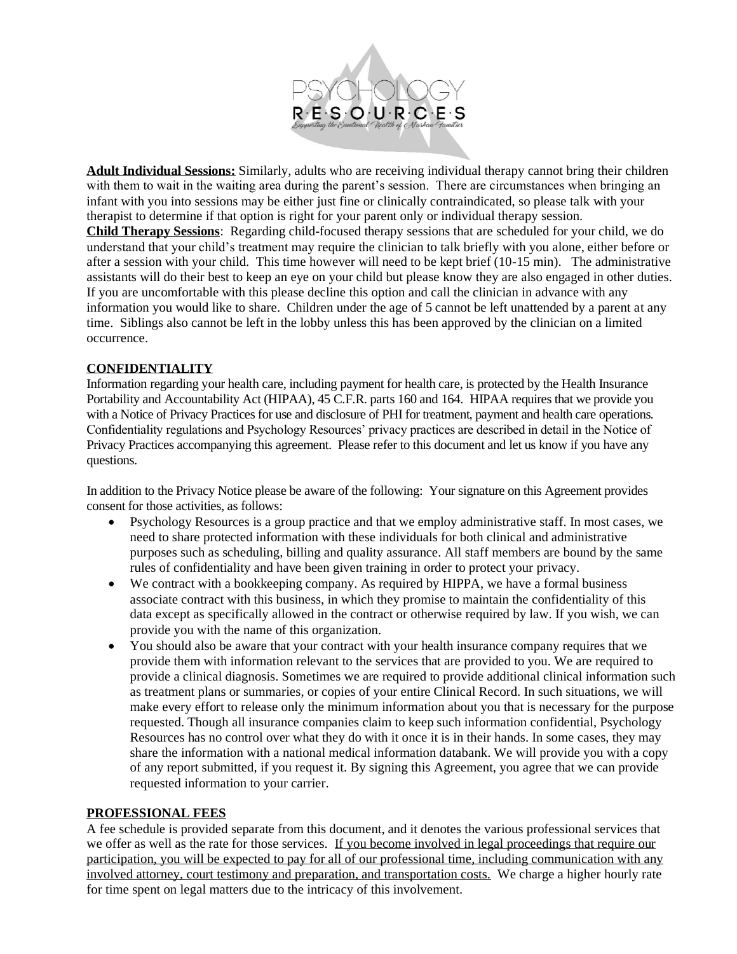

**Adult Individual Sessions:** Similarly, adults who are receiving individual therapy cannot bring their children with them to wait in the waiting area during the parent's session. There are circumstances when bringing an infant with you into sessions may be either just fine or clinically contraindicated, so please talk with your therapist to determine if that option is right for your parent only or individual therapy session.

**Child Therapy Sessions**: Regarding child-focused therapy sessions that are scheduled for your child, we do understand that your child's treatment may require the clinician to talk briefly with you alone, either before or after a session with your child. This time however will need to be kept brief (10-15 min). The administrative assistants will do their best to keep an eye on your child but please know they are also engaged in other duties. If you are uncomfortable with this please decline this option and call the clinician in advance with any information you would like to share. Children under the age of 5 cannot be left unattended by a parent at any time. Siblings also cannot be left in the lobby unless this has been approved by the clinician on a limited occurrence.

## **CONFIDENTIALITY**

Information regarding your health care, including payment for health care, is protected by the Health Insurance Portability and Accountability Act (HIPAA), 45 C.F.R. parts 160 and 164. HIPAA requires that we provide you with a Notice of Privacy Practices for use and disclosure of PHI for treatment, payment and health care operations. Confidentiality regulations and Psychology Resources' privacy practices are described in detail in the Notice of Privacy Practices accompanying this agreement. Please refer to this document and let us know if you have any questions.

In addition to the Privacy Notice please be aware of the following: Your signature on this Agreement provides consent for those activities, as follows:

- Psychology Resources is a group practice and that we employ administrative staff. In most cases, we need to share protected information with these individuals for both clinical and administrative purposes such as scheduling, billing and quality assurance. All staff members are bound by the same rules of confidentiality and have been given training in order to protect your privacy.
- We contract with a bookkeeping company. As required by HIPPA, we have a formal business associate contract with this business, in which they promise to maintain the confidentiality of this data except as specifically allowed in the contract or otherwise required by law. If you wish, we can provide you with the name of this organization.
- You should also be aware that your contract with your health insurance company requires that we provide them with information relevant to the services that are provided to you. We are required to provide a clinical diagnosis. Sometimes we are required to provide additional clinical information such as treatment plans or summaries, or copies of your entire Clinical Record. In such situations, we will make every effort to release only the minimum information about you that is necessary for the purpose requested. Though all insurance companies claim to keep such information confidential, Psychology Resources has no control over what they do with it once it is in their hands. In some cases, they may share the information with a national medical information databank. We will provide you with a copy of any report submitted, if you request it. By signing this Agreement, you agree that we can provide requested information to your carrier.

#### **PROFESSIONAL FEES**

A fee schedule is provided separate from this document, and it denotes the various professional services that we offer as well as the rate for those services. If you become involved in legal proceedings that require our participation, you will be expected to pay for all of our professional time, including communication with any involved attorney, court testimony and preparation, and transportation costs. We charge a higher hourly rate for time spent on legal matters due to the intricacy of this involvement.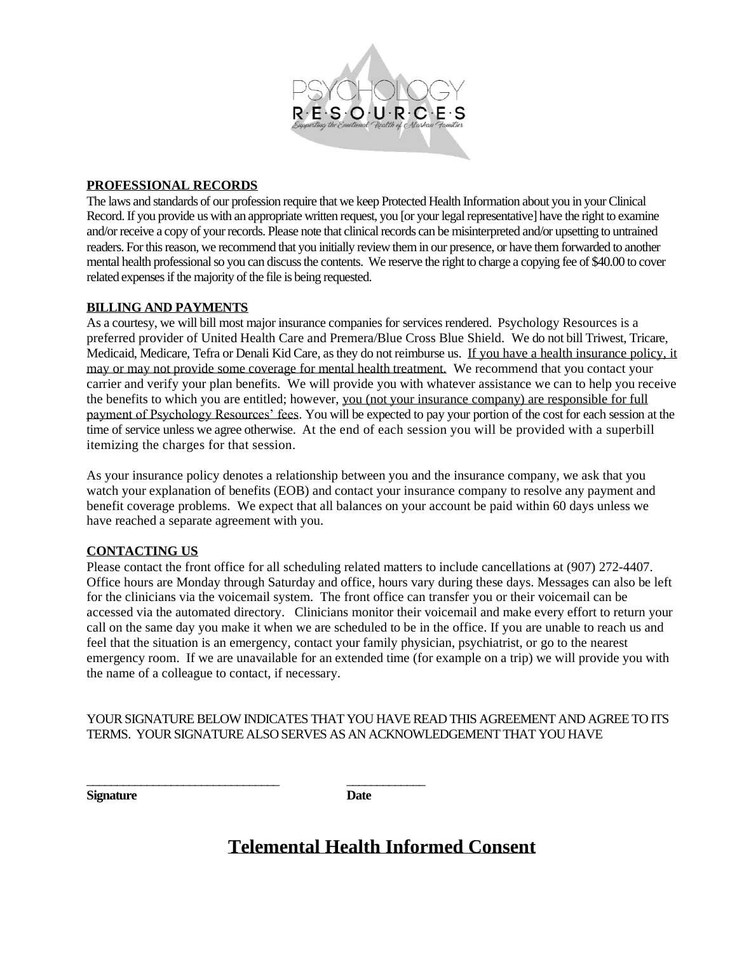

## **PROFESSIONAL RECORDS**

The laws and standards of our profession require that we keep Protected Health Information about you in your Clinical Record. If you provide us with an appropriate written request, you [or your legal representative] have the right to examine and/or receive a copy of your records. Please note that clinical records can be misinterpreted and/or upsetting to untrained readers. For this reason, we recommend that you initially review them in our presence, or have them forwarded to another mental health professional so you can discuss the contents. We reserve the right to charge a copying fee of \$40.00 to cover related expenses if the majority of the file is being requested.

## **BILLING AND PAYMENTS**

As a courtesy, we will bill most major insurance companies for services rendered. Psychology Resources is a preferred provider of United Health Care and Premera/Blue Cross Blue Shield. We do not bill Triwest, Tricare, Medicaid, Medicare, Tefra or Denali Kid Care, as they do not reimburse us. If you have a health insurance policy, it may or may not provide some coverage for mental health treatment. We recommend that you contact your carrier and verify your plan benefits. We will provide you with whatever assistance we can to help you receive the benefits to which you are entitled; however, you (not your insurance company) are responsible for full payment of Psychology Resources' fees. You will be expected to pay your portion of the cost for each session at the time of service unless we agree otherwise. At the end of each session you will be provided with a superbill itemizing the charges for that session.

As your insurance policy denotes a relationship between you and the insurance company, we ask that you watch your explanation of benefits (EOB) and contact your insurance company to resolve any payment and benefit coverage problems. We expect that all balances on your account be paid within 60 days unless we have reached a separate agreement with you.

## **CONTACTING US**

Please contact the front office for all scheduling related matters to include cancellations at (907) 272-4407. Office hours are Monday through Saturday and office, hours vary during these days. Messages can also be left for the clinicians via the voicemail system. The front office can transfer you or their voicemail can be accessed via the automated directory. Clinicians monitor their voicemail and make every effort to return your call on the same day you make it when we are scheduled to be in the office. If you are unable to reach us and feel that the situation is an emergency, contact your family physician, psychiatrist, or go to the nearest emergency room. If we are unavailable for an extended time (for example on a trip) we will provide you with the name of a colleague to contact, if necessary.

## YOUR SIGNATURE BELOW INDICATES THAT YOU HAVE READ THIS AGREEMENT AND AGREE TO ITS TERMS. YOUR SIGNATURE ALSO SERVES AS AN ACKNOWLEDGEMENT THAT YOU HAVE

**Signature Date**

\_\_\_\_\_\_\_\_\_\_\_\_\_\_\_\_\_\_\_\_\_\_\_\_\_\_\_\_\_\_\_\_ \_\_\_\_\_\_\_\_\_\_\_\_\_

## **Telemental Health Informed Consent**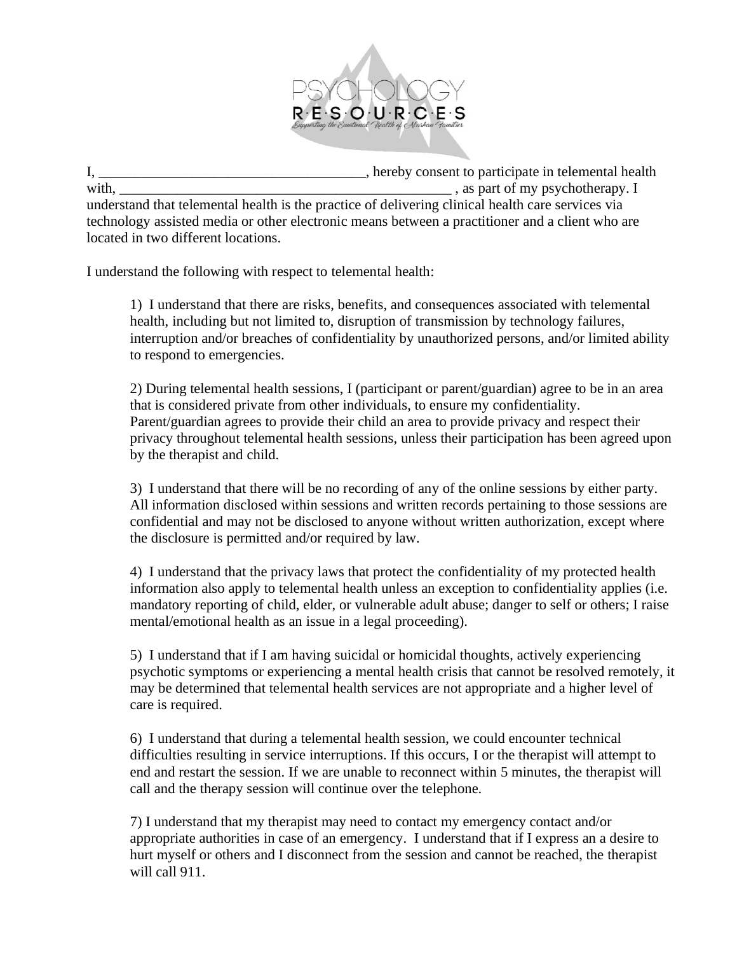

I, \_\_\_\_\_\_\_\_\_\_\_\_\_\_\_\_\_\_\_\_\_\_\_\_\_\_\_\_\_\_\_\_\_\_\_, hereby consent to participate in telemental health with, with  $\alpha$  is the contract of the state of the state of my psychotherapy. I understand that telemental health is the practice of delivering clinical health care services via technology assisted media or other electronic means between a practitioner and a client who are located in two different locations.

I understand the following with respect to telemental health:

1) I understand that there are risks, benefits, and consequences associated with telemental health, including but not limited to, disruption of transmission by technology failures, interruption and/or breaches of confidentiality by unauthorized persons, and/or limited ability to respond to emergencies.

2) During telemental health sessions, I (participant or parent/guardian) agree to be in an area that is considered private from other individuals, to ensure my confidentiality. Parent/guardian agrees to provide their child an area to provide privacy and respect their privacy throughout telemental health sessions, unless their participation has been agreed upon by the therapist and child.

3) I understand that there will be no recording of any of the online sessions by either party. All information disclosed within sessions and written records pertaining to those sessions are confidential and may not be disclosed to anyone without written authorization, except where the disclosure is permitted and/or required by law.

4) I understand that the privacy laws that protect the confidentiality of my protected health information also apply to telemental health unless an exception to confidentiality applies (i.e. mandatory reporting of child, elder, or vulnerable adult abuse; danger to self or others; I raise mental/emotional health as an issue in a legal proceeding).

5) I understand that if I am having suicidal or homicidal thoughts, actively experiencing psychotic symptoms or experiencing a mental health crisis that cannot be resolved remotely, it may be determined that telemental health services are not appropriate and a higher level of care is required.

6) I understand that during a telemental health session, we could encounter technical difficulties resulting in service interruptions. If this occurs, I or the therapist will attempt to end and restart the session. If we are unable to reconnect within 5 minutes, the therapist will call and the therapy session will continue over the telephone.

7) I understand that my therapist may need to contact my emergency contact and/or appropriate authorities in case of an emergency. I understand that if I express an a desire to hurt myself or others and I disconnect from the session and cannot be reached, the therapist will call 911.